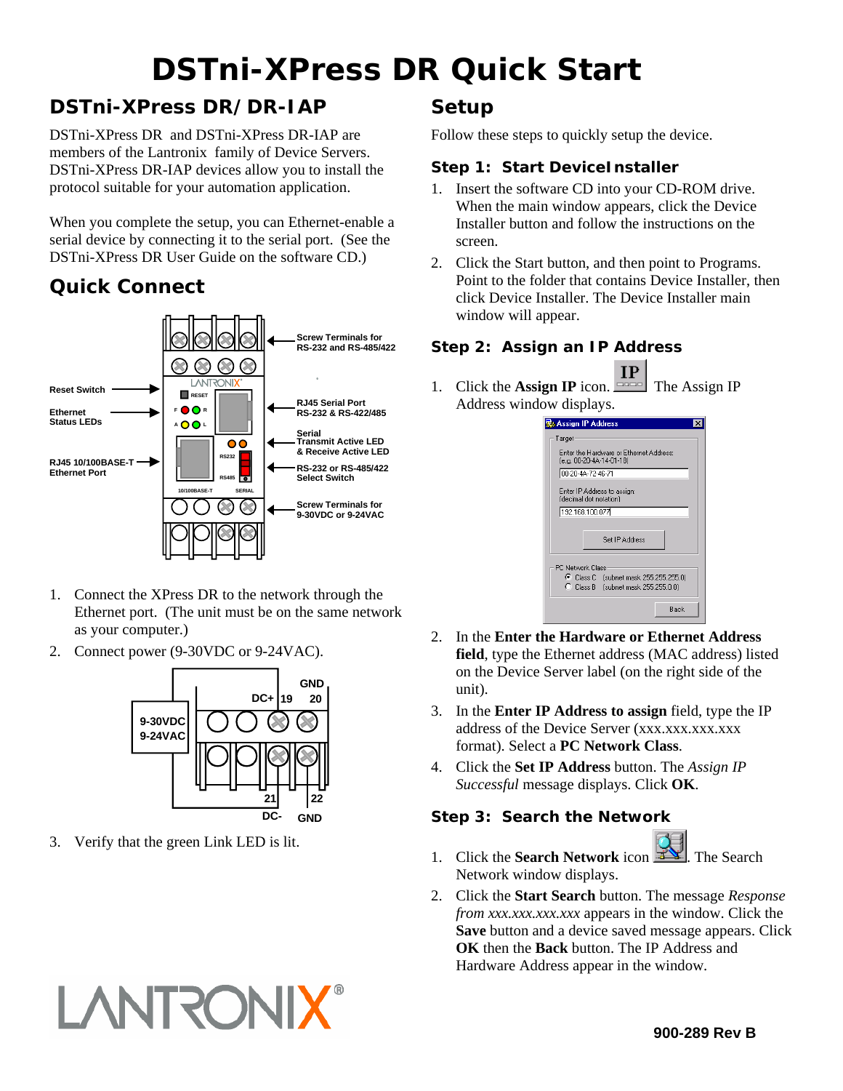# **DSTni-XPress DR Quick Start**

## **DSTni-XPress DR/DR-IAP**

DSTni-XPress DR and DSTni-XPress DR-IAP are members of the Lantronix family of Device Servers. DSTni-XPress DR-IAP devices allow you to install the protocol suitable for your automation application.

When you complete the setup, you can Ethernet-enable a serial device by connecting it to the serial port. (See the DSTni-XPress DR User Guide on the software CD.)

## **Quick Connect**



- 1. Connect the XPress DR to the network through the Ethernet port. (The unit must be on the same network as your computer.)
- 2. Connect power (9-30VDC or 9-24VAC).



3. Verify that the green Link LED is lit.

**LANTRONIX** 

### **Setup**

Follow these steps to quickly setup the device.

#### **Step 1: Start DeviceInstaller**

- 1. Insert the software CD into your CD-ROM drive. When the main window appears, click the Device Installer button and follow the instructions on the screen.
- 2. Click the Start button, and then point to Programs. Point to the folder that contains Device Installer, then click Device Installer. The Device Installer main window will appear.

#### **Step 2: Assign an IP Address**

 $IP$ 1. Click the **Assign IP** icon.  $\boxed{\square}$  The Assign IP Address window displays.

| <b>Assign IP Address</b>                                            |
|---------------------------------------------------------------------|
| Target                                                              |
| Enter the Hardware or Ethernet Address:<br>(e.g. 00-20-4A-14-01-18) |
| 00-20-4A-72-46-71                                                   |
| Enter IP Address to assign:<br>(decimal dot notation)               |
| 192.168.100.077                                                     |
|                                                                     |
| Set IP Address                                                      |
| <b>PC Network Class</b>                                             |
| C Class C [subnet mask 255.255.255.0]                               |
| C Class B [subnet mask 255.255.0.0]                                 |
| Back                                                                |

- 2. In the **Enter the Hardware or Ethernet Address field**, type the Ethernet address (MAC address) listed on the Device Server label (on the right side of the unit).
- 3. In the **Enter IP Address to assign** field, type the IP address of the Device Server (xxx.xxx.xxx.xxx format). Select a **PC Network Class**.
- 4. Click the **Set IP Address** button. The *Assign IP Successful* message displays. Click **OK**.

#### **Step 3: Search the Network**



- 1. Click the **Search Network** icon **EX**. The Search Network window displays.
- 2. Click the **Start Search** button. The message *Response from xxx.xxx.xxx.xxx* appears in the window. Click the **Save** button and a device saved message appears. Click **OK** then the **Back** button. The IP Address and Hardware Address appear in the window.